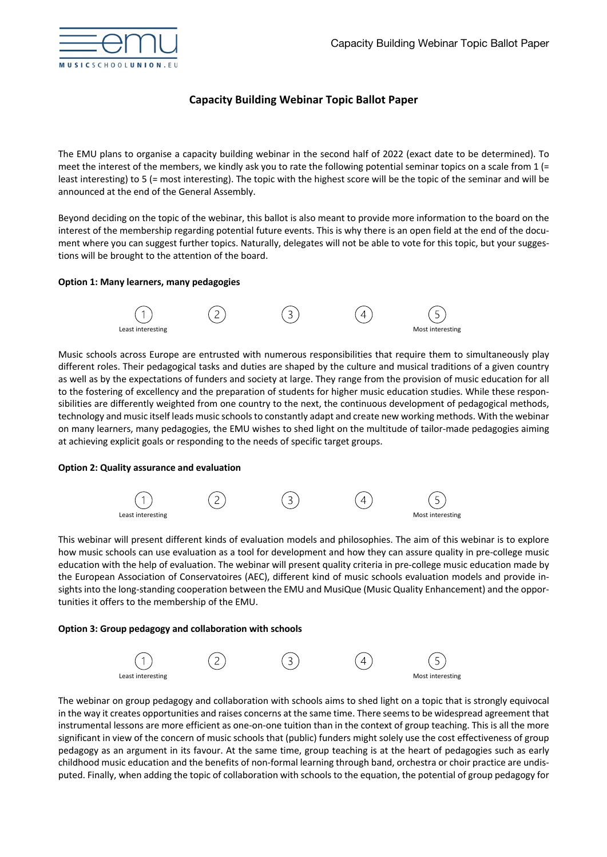

# **Capacity Building Webinar Topic Ballot Paper**

The EMU plans to organise a capacity building webinar in the second half of 2022 (exact date to be determined). To meet the interest of the members, we kindly ask you to rate the following potential seminar topics on a scale from 1 (= least interesting) to 5 (= most interesting). The topic with the highest score will be the topic of the seminar and will be announced at the end of the General Assembly.

Beyond deciding on the topic of the webinar, this ballot is also meant to provide more information to the board on the interest of the membership regarding potential future events. This is why there is an open field at the end of the document where you can suggest further topics. Naturally, delegates will not be able to vote for this topic, but your suggestions will be brought to the attention of the board.

# **Option 1: Many learners, many pedagogies**



Music schools across Europe are entrusted with numerous responsibilities that require them to simultaneously play different roles. Their pedagogical tasks and duties are shaped by the culture and musical traditions of a given country as well as by the expectations of funders and society at large. They range from the provision of music education for all to the fostering of excellency and the preparation of students for higher music education studies. While these responsibilities are differently weighted from one country to the next, the continuous development of pedagogical methods, technology and music itself leads music schools to constantly adapt and create new working methods. With the webinar on many learners, many pedagogies, the EMU wishes to shed light on the multitude of tailor-made pedagogies aiming at achieving explicit goals or responding to the needs of specific target groups.

# **Option 2: Quality assurance and evaluation**



This webinar will present different kinds of evaluation models and philosophies. The aim of this webinar is to explore how music schools can use evaluation as a tool for development and how they can assure quality in pre-college music education with the help of evaluation. The webinar will present quality criteria in pre-college music education made by the European Association of Conservatoires (AEC), different kind of music schools evaluation models and provide insights into the long-standing cooperation between the EMU and MusiQue (Music Quality Enhancement) and the opportunities it offers to the membership of the EMU.

## **Option 3: Group pedagogy and collaboration with schools**



The webinar on group pedagogy and collaboration with schools aims to shed light on a topic that is strongly equivocal in the way it creates opportunities and raises concerns at the same time. There seems to be widespread agreement that instrumental lessons are more efficient as one-on-one tuition than in the context of group teaching. This is all the more significant in view of the concern of music schools that (public) funders might solely use the cost effectiveness of group pedagogy as an argument in its favour. At the same time, group teaching is at the heart of pedagogies such as early childhood music education and the benefits of non-formal learning through band, orchestra or choir practice are undisputed. Finally, when adding the topic of collaboration with schools to the equation, the potential of group pedagogy for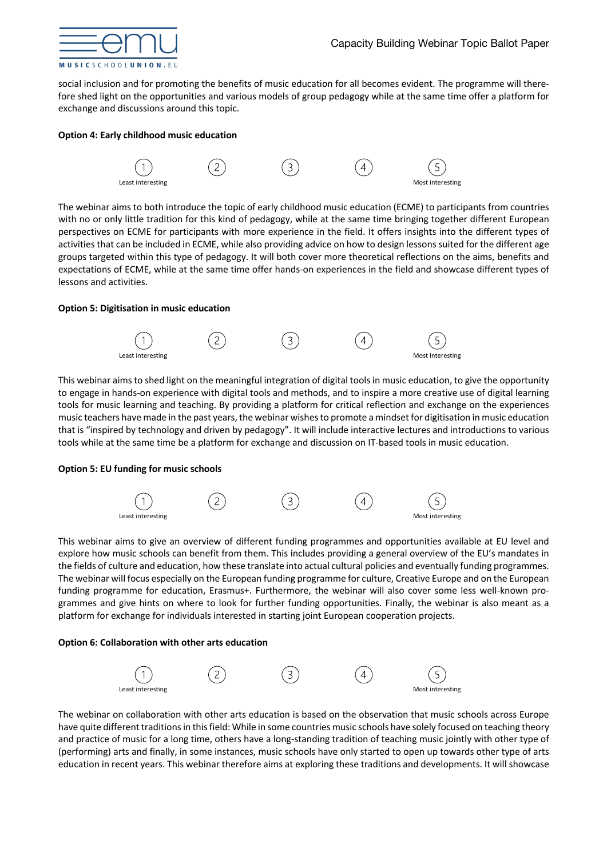

social inclusion and for promoting the benefits of music education for all becomes evident. The programme will therefore shed light on the opportunities and various models of group pedagogy while at the same time offer a platform for exchange and discussions around this topic.

# **Option 4: Early childhood music education**



The webinar aims to both introduce the topic of early childhood music education (ECME) to participants from countries with no or only little tradition for this kind of pedagogy, while at the same time bringing together different European perspectives on ECME for participants with more experience in the field. It offers insights into the different types of activities that can be included in ECME, while also providing advice on how to design lessons suited for the different age groups targeted within this type of pedagogy. It will both cover more theoretical reflections on the aims, benefits and expectations of ECME, while at the same time offer hands-on experiences in the field and showcase different types of lessons and activities.

## **Option 5: Digitisation in music education**



This webinar aims to shed light on the meaningful integration of digital tools in music education, to give the opportunity to engage in hands-on experience with digital tools and methods, and to inspire a more creative use of digital learning tools for music learning and teaching. By providing a platform for critical reflection and exchange on the experiences music teachers have made in the past years, the webinar wishes to promote a mindset for digitisation in music education that is "inspired by technology and driven by pedagogy". It will include interactive lectures and introductions to various tools while at the same time be a platform for exchange and discussion on IT-based tools in music education.

## **Option 5: EU funding for music schools**



This webinar aims to give an overview of different funding programmes and opportunities available at EU level and explore how music schools can benefit from them. This includes providing a general overview of the EU's mandates in the fields of culture and education, how these translate into actual cultural policies and eventually funding programmes. The webinar will focus especially on the European funding programme for culture, Creative Europe and on the European funding programme for education, Erasmus+. Furthermore, the webinar will also cover some less well-known programmes and give hints on where to look for further funding opportunities. Finally, the webinar is also meant as a platform for exchange for individuals interested in starting joint European cooperation projects.

## **Option 6: Collaboration with other arts education**



The webinar on collaboration with other arts education is based on the observation that music schools across Europe have quite different traditions in this field: While in some countries music schools have solely focused on teaching theory and practice of music for a long time, others have a long-standing tradition of teaching music jointly with other type of (performing) arts and finally, in some instances, music schools have only started to open up towards other type of arts education in recent years. This webinar therefore aims at exploring these traditions and developments. It will showcase